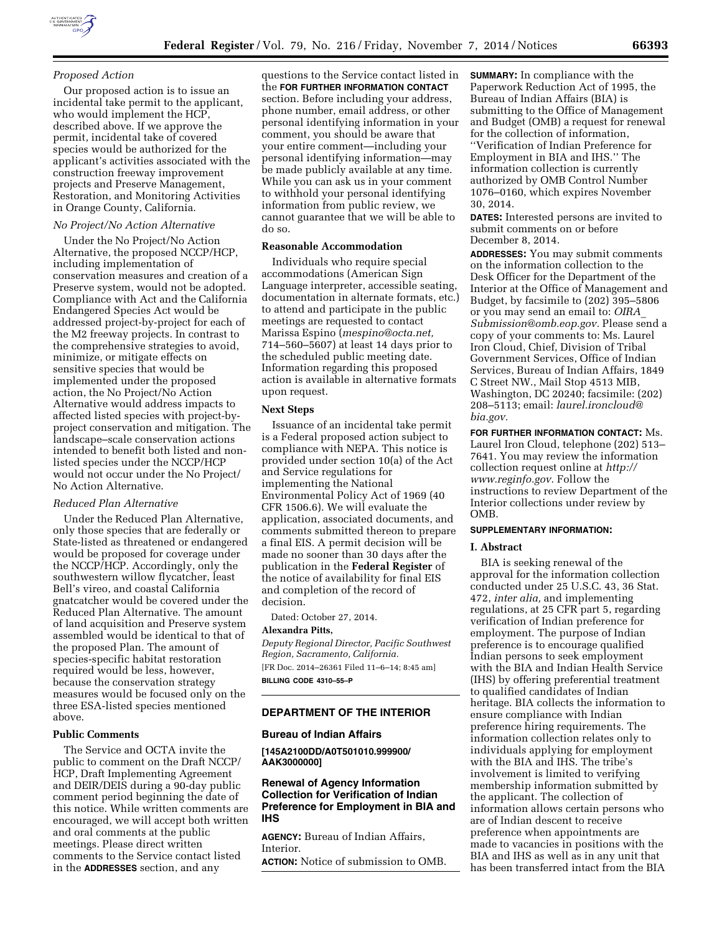## *Proposed Action*

Our proposed action is to issue an incidental take permit to the applicant, who would implement the HCP, described above. If we approve the permit, incidental take of covered species would be authorized for the applicant's activities associated with the construction freeway improvement projects and Preserve Management, Restoration, and Monitoring Activities in Orange County, California.

## *No Project/No Action Alternative*

Under the No Project/No Action Alternative, the proposed NCCP/HCP, including implementation of conservation measures and creation of a Preserve system, would not be adopted. Compliance with Act and the California Endangered Species Act would be addressed project-by-project for each of the M2 freeway projects. In contrast to the comprehensive strategies to avoid, minimize, or mitigate effects on sensitive species that would be implemented under the proposed action, the No Project/No Action Alternative would address impacts to affected listed species with project-byproject conservation and mitigation. The landscape–scale conservation actions intended to benefit both listed and nonlisted species under the NCCP/HCP would not occur under the No Project/ No Action Alternative.

# *Reduced Plan Alternative*

Under the Reduced Plan Alternative, only those species that are federally or State-listed as threatened or endangered would be proposed for coverage under the NCCP/HCP. Accordingly, only the southwestern willow flycatcher, least Bell's vireo, and coastal California gnatcatcher would be covered under the Reduced Plan Alternative. The amount of land acquisition and Preserve system assembled would be identical to that of the proposed Plan. The amount of species-specific habitat restoration required would be less, however, because the conservation strategy measures would be focused only on the three ESA-listed species mentioned above.

## **Public Comments**

The Service and OCTA invite the public to comment on the Draft NCCP/ HCP, Draft Implementing Agreement and DEIR/DEIS during a 90-day public comment period beginning the date of this notice. While written comments are encouraged, we will accept both written and oral comments at the public meetings. Please direct written comments to the Service contact listed in the **ADDRESSES** section, and any

questions to the Service contact listed in the **FOR FURTHER INFORMATION CONTACT** section. Before including your address, phone number, email address, or other personal identifying information in your comment, you should be aware that your entire comment—including your personal identifying information—may be made publicly available at any time. While you can ask us in your comment to withhold your personal identifying information from public review, we cannot guarantee that we will be able to do so.

# **Reasonable Accommodation**

Individuals who require special accommodations (American Sign Language interpreter, accessible seating, documentation in alternate formats, etc.) to attend and participate in the public meetings are requested to contact Marissa Espino (*[mespino@octa.net,](mailto:mespino@octa.net)*  714–560–5607) at least 14 days prior to the scheduled public meeting date. Information regarding this proposed action is available in alternative formats upon request.

#### **Next Steps**

Issuance of an incidental take permit is a Federal proposed action subject to compliance with NEPA. This notice is provided under section 10(a) of the Act and Service regulations for implementing the National Environmental Policy Act of 1969 (40 CFR 1506.6). We will evaluate the application, associated documents, and comments submitted thereon to prepare a final EIS. A permit decision will be made no sooner than 30 days after the publication in the **Federal Register** of the notice of availability for final EIS and completion of the record of decision.

Dated: October 27, 2014.

#### **Alexandra Pitts,**

*Deputy Regional Director, Pacific Southwest Region, Sacramento, California.*  [FR Doc. 2014–26361 Filed 11–6–14; 8:45 am] **BILLING CODE 4310–55–P** 

## **DEPARTMENT OF THE INTERIOR**

#### **Bureau of Indian Affairs**

**[145A2100DD/A0T501010.999900/ AAK3000000]** 

# **Renewal of Agency Information Collection for Verification of Indian Preference for Employment in BIA and IHS**

**AGENCY:** Bureau of Indian Affairs, Interior.

**ACTION:** Notice of submission to OMB.

**SUMMARY:** In compliance with the Paperwork Reduction Act of 1995, the Bureau of Indian Affairs (BIA) is submitting to the Office of Management and Budget (OMB) a request for renewal for the collection of information, ''Verification of Indian Preference for Employment in BIA and IHS.'' The information collection is currently authorized by OMB Control Number 1076–0160, which expires November 30, 2014.

**DATES:** Interested persons are invited to submit comments on or before December 8, 2014.

**ADDRESSES:** You may submit comments on the information collection to the Desk Officer for the Department of the Interior at the Office of Management and Budget, by facsimile to (202) 395–5806 or you may send an email to: *[OIRA](mailto:OIRA_Submission@omb.eop.gov)*\_ *[Submission@omb.eop.gov.](mailto:OIRA_Submission@omb.eop.gov)* Please send a copy of your comments to: Ms. Laurel Iron Cloud, Chief, Division of Tribal Government Services, Office of Indian Services, Bureau of Indian Affairs, 1849 C Street NW., Mail Stop 4513 MIB, Washington, DC 20240; facsimile: (202) 208–5113; email: *[laurel.ironcloud@](mailto:laurel.ironcloud@bia.gov) [bia.gov.](mailto:laurel.ironcloud@bia.gov)* 

**FOR FURTHER INFORMATION CONTACT:** Ms. Laurel Iron Cloud, telephone (202) 513– 7641. You may review the information collection request online at *[http://](http://www.reginfo.gov) [www.reginfo.gov.](http://www.reginfo.gov)* Follow the instructions to review Department of the Interior collections under review by OMB.

## **SUPPLEMENTARY INFORMATION:**

## **I. Abstract**

BIA is seeking renewal of the approval for the information collection conducted under 25 U.S.C. 43, 36 Stat. 472, *inter alia,* and implementing regulations, at 25 CFR part 5, regarding verification of Indian preference for employment. The purpose of Indian preference is to encourage qualified Indian persons to seek employment with the BIA and Indian Health Service (IHS) by offering preferential treatment to qualified candidates of Indian heritage. BIA collects the information to ensure compliance with Indian preference hiring requirements. The information collection relates only to individuals applying for employment with the BIA and IHS. The tribe's involvement is limited to verifying membership information submitted by the applicant. The collection of information allows certain persons who are of Indian descent to receive preference when appointments are made to vacancies in positions with the BIA and IHS as well as in any unit that has been transferred intact from the BIA